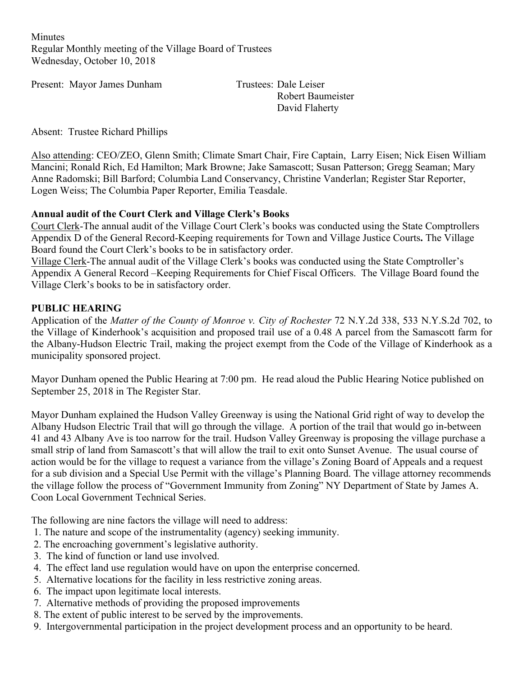**Minutes** Regular Monthly meeting of the Village Board of Trustees Wednesday, October 10, 2018

Present: Mayor James Dunham Trustees: Dale Leiser

Robert Baumeister David Flaherty

Absent: Trustee Richard Phillips

Also attending: CEO/ZEO, Glenn Smith; Climate Smart Chair, Fire Captain, Larry Eisen; Nick Eisen William Mancini; Ronald Rich, Ed Hamilton; Mark Browne; Jake Samascott; Susan Patterson; Gregg Seaman; Mary Anne Radomski; Bill Barford; Columbia Land Conservancy, Christine Vanderlan; Register Star Reporter, Logen Weiss; The Columbia Paper Reporter, Emilia Teasdale.

### **Annual audit of the Court Clerk and Village Clerk's Books**

Court Clerk-The annual audit of the Village Court Clerk's books was conducted using the State Comptrollers Appendix D of the General Record-Keeping requirements for Town and Village Justice Courts**.** The Village Board found the Court Clerk's books to be in satisfactory order.

Village Clerk-The annual audit of the Village Clerk's books was conducted using the State Comptroller's Appendix A General Record –Keeping Requirements for Chief Fiscal Officers. The Village Board found the Village Clerk's books to be in satisfactory order.

### **PUBLIC HEARING**

Application of the *Matter of the County of Monroe v. City of Rochester* 72 N.Y.2d 338, 533 N.Y.S.2d 702, to the Village of Kinderhook's acquisition and proposed trail use of a 0.48 A parcel from the Samascott farm for the Albany-Hudson Electric Trail, making the project exempt from the Code of the Village of Kinderhook as a municipality sponsored project.

Mayor Dunham opened the Public Hearing at 7:00 pm. He read aloud the Public Hearing Notice published on September 25, 2018 in The Register Star.

Mayor Dunham explained the Hudson Valley Greenway is using the National Grid right of way to develop the Albany Hudson Electric Trail that will go through the village. A portion of the trail that would go in-between 41 and 43 Albany Ave is too narrow for the trail. Hudson Valley Greenway is proposing the village purchase a small strip of land from Samascott's that will allow the trail to exit onto Sunset Avenue. The usual course of action would be for the village to request a variance from the village's Zoning Board of Appeals and a request for a sub division and a Special Use Permit with the village's Planning Board. The village attorney recommends the village follow the process of "Government Immunity from Zoning" NY Department of State by James A. Coon Local Government Technical Series.

The following are nine factors the village will need to address:

- 1. The nature and scope of the instrumentality (agency) seeking immunity.
- 2. The encroaching government's legislative authority.
- 3. The kind of function or land use involved.
- 4. The effect land use regulation would have on upon the enterprise concerned.
- 5. Alternative locations for the facility in less restrictive zoning areas.
- 6. The impact upon legitimate local interests.
- 7. Alternative methods of providing the proposed improvements
- 8. The extent of public interest to be served by the improvements.
- 9. Intergovernmental participation in the project development process and an opportunity to be heard.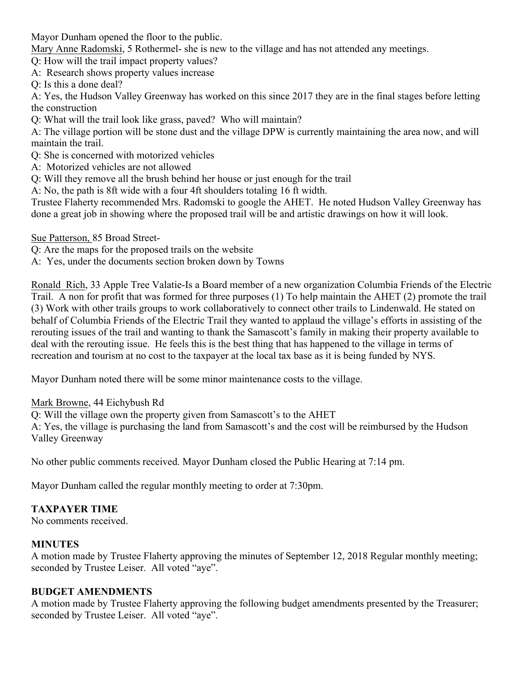Mayor Dunham opened the floor to the public.

Mary Anne Radomski, 5 Rothermel- she is new to the village and has not attended any meetings.

Q: How will the trail impact property values?

A: Research shows property values increase

Q: Is this a done deal?

A: Yes, the Hudson Valley Greenway has worked on this since 2017 they are in the final stages before letting the construction

Q: What will the trail look like grass, paved? Who will maintain?

A: The village portion will be stone dust and the village DPW is currently maintaining the area now, and will maintain the trail.

- Q: She is concerned with motorized vehicles
- A: Motorized vehicles are not allowed
- Q: Will they remove all the brush behind her house or just enough for the trail

A: No, the path is 8ft wide with a four 4ft shoulders totaling 16 ft width.

Trustee Flaherty recommended Mrs. Radomski to google the AHET. He noted Hudson Valley Greenway has done a great job in showing where the proposed trail will be and artistic drawings on how it will look.

Sue Patterson, 85 Broad Street-

Q: Are the maps for the proposed trails on the website

A: Yes, under the documents section broken down by Towns

Ronald Rich, 33 Apple Tree Valatie-Is a Board member of a new organization Columbia Friends of the Electric Trail. A non for profit that was formed for three purposes (1) To help maintain the AHET (2) promote the trail (3) Work with other trails groups to work collaboratively to connect other trails to Lindenwald. He stated on behalf of Columbia Friends of the Electric Trail they wanted to applaud the village's efforts in assisting of the rerouting issues of the trail and wanting to thank the Samascott's family in making their property available to deal with the rerouting issue. He feels this is the best thing that has happened to the village in terms of recreation and tourism at no cost to the taxpayer at the local tax base as it is being funded by NYS.

Mayor Dunham noted there will be some minor maintenance costs to the village.

Mark Browne, 44 Eichybush Rd

Q: Will the village own the property given from Samascott's to the AHET

A: Yes, the village is purchasing the land from Samascott's and the cost will be reimbursed by the Hudson Valley Greenway

No other public comments received. Mayor Dunham closed the Public Hearing at 7:14 pm.

Mayor Dunham called the regular monthly meeting to order at 7:30pm.

### **TAXPAYER TIME**

No comments received.

### **MINUTES**

A motion made by Trustee Flaherty approving the minutes of September 12, 2018 Regular monthly meeting; seconded by Trustee Leiser. All voted "aye".

### **BUDGET AMENDMENTS**

A motion made by Trustee Flaherty approving the following budget amendments presented by the Treasurer; seconded by Trustee Leiser. All voted "aye".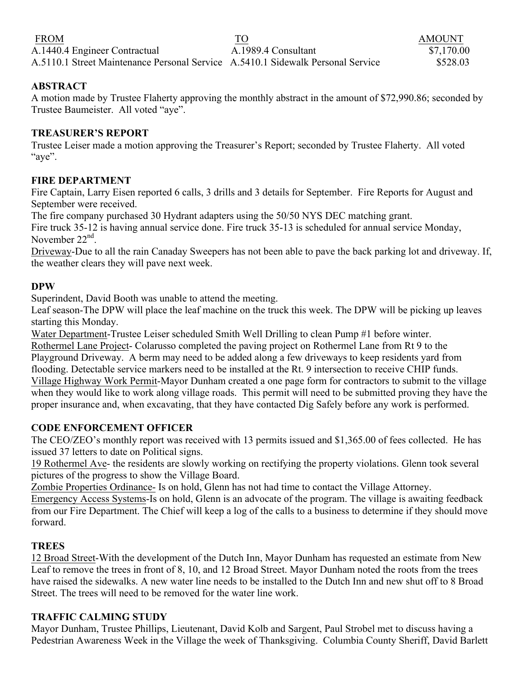| <b>FROM</b>                                                                     | TO                  | <b>AMOUNT</b> |
|---------------------------------------------------------------------------------|---------------------|---------------|
| A.1440.4 Engineer Contractual                                                   | A.1989.4 Consultant | \$7,170.00    |
| A.5110.1 Street Maintenance Personal Service A.5410.1 Sidewalk Personal Service |                     | \$528.03      |

### **ABSTRACT**

A motion made by Trustee Flaherty approving the monthly abstract in the amount of \$72,990.86; seconded by Trustee Baumeister. All voted "aye".

### **TREASURER'S REPORT**

Trustee Leiser made a motion approving the Treasurer's Report; seconded by Trustee Flaherty. All voted "aye".

### **FIRE DEPARTMENT**

Fire Captain, Larry Eisen reported 6 calls, 3 drills and 3 details for September. Fire Reports for August and September were received.

The fire company purchased 30 Hydrant adapters using the 50/50 NYS DEC matching grant.

Fire truck 35-12 is having annual service done. Fire truck 35-13 is scheduled for annual service Monday, November 22<sup>nd</sup>

Driveway-Due to all the rain Canaday Sweepers has not been able to pave the back parking lot and driveway. If, the weather clears they will pave next week.

### **DPW**

Superindent, David Booth was unable to attend the meeting.

Leaf season-The DPW will place the leaf machine on the truck this week. The DPW will be picking up leaves starting this Monday.

Water Department-Trustee Leiser scheduled Smith Well Drilling to clean Pump #1 before winter.

Rothermel Lane Project- Colarusso completed the paving project on Rothermel Lane from Rt 9 to the Playground Driveway. A berm may need to be added along a few driveways to keep residents yard from flooding. Detectable service markers need to be installed at the Rt. 9 intersection to receive CHIP funds. Village Highway Work Permit-Mayor Dunham created a one page form for contractors to submit to the village when they would like to work along village roads. This permit will need to be submitted proving they have the proper insurance and, when excavating, that they have contacted Dig Safely before any work is performed.

# **CODE ENFORCEMENT OFFICER**

The CEO/ZEO's monthly report was received with 13 permits issued and \$1,365.00 of fees collected. He has issued 37 letters to date on Political signs.

19 Rothermel Ave- the residents are slowly working on rectifying the property violations. Glenn took several pictures of the progress to show the Village Board.

Zombie Properties Ordinance- Is on hold, Glenn has not had time to contact the Village Attorney.

Emergency Access Systems-Is on hold, Glenn is an advocate of the program. The village is awaiting feedback from our Fire Department. The Chief will keep a log of the calls to a business to determine if they should move forward.

# **TREES**

12 Broad Street-With the development of the Dutch Inn, Mayor Dunham has requested an estimate from New Leaf to remove the trees in front of 8, 10, and 12 Broad Street. Mayor Dunham noted the roots from the trees have raised the sidewalks. A new water line needs to be installed to the Dutch Inn and new shut off to 8 Broad Street. The trees will need to be removed for the water line work.

# **TRAFFIC CALMING STUDY**

Mayor Dunham, Trustee Phillips, Lieutenant, David Kolb and Sargent, Paul Strobel met to discuss having a Pedestrian Awareness Week in the Village the week of Thanksgiving. Columbia County Sheriff, David Barlett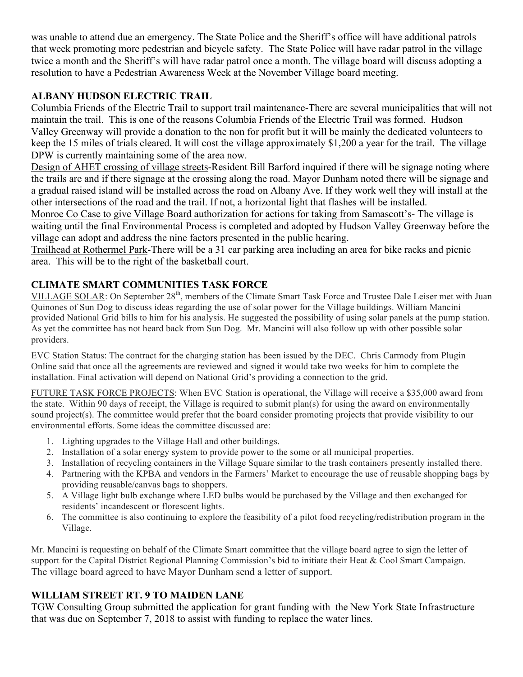was unable to attend due an emergency. The State Police and the Sheriff's office will have additional patrols that week promoting more pedestrian and bicycle safety. The State Police will have radar patrol in the village twice a month and the Sheriff's will have radar patrol once a month. The village board will discuss adopting a resolution to have a Pedestrian Awareness Week at the November Village board meeting.

# **ALBANY HUDSON ELECTRIC TRAIL**

Columbia Friends of the Electric Trail to support trail maintenance-There are several municipalities that will not maintain the trail. This is one of the reasons Columbia Friends of the Electric Trail was formed. Hudson Valley Greenway will provide a donation to the non for profit but it will be mainly the dedicated volunteers to keep the 15 miles of trials cleared. It will cost the village approximately \$1,200 a year for the trail. The village DPW is currently maintaining some of the area now.

Design of AHET crossing of village streets-Resident Bill Barford inquired if there will be signage noting where the trails are and if there signage at the crossing along the road. Mayor Dunham noted there will be signage and a gradual raised island will be installed across the road on Albany Ave. If they work well they will install at the other intersections of the road and the trail. If not, a horizontal light that flashes will be installed.

Monroe Co Case to give Village Board authorization for actions for taking from Samascott's- The village is waiting until the final Environmental Process is completed and adopted by Hudson Valley Greenway before the village can adopt and address the nine factors presented in the public hearing.

Trailhead at Rothermel Park-There will be a 31 car parking area including an area for bike racks and picnic area. This will be to the right of the basketball court.

# **CLIMATE SMART COMMUNITIES TASK FORCE**

VILLAGE SOLAR: On September 28<sup>th</sup>, members of the Climate Smart Task Force and Trustee Dale Leiser met with Juan Quinones of Sun Dog to discuss ideas regarding the use of solar power for the Village buildings. William Mancini provided National Grid bills to him for his analysis. He suggested the possibility of using solar panels at the pump station. As yet the committee has not heard back from Sun Dog. Mr. Mancini will also follow up with other possible solar providers.

EVC Station Status: The contract for the charging station has been issued by the DEC. Chris Carmody from Plugin Online said that once all the agreements are reviewed and signed it would take two weeks for him to complete the installation. Final activation will depend on National Grid's providing a connection to the grid.

FUTURE TASK FORCE PROJECTS: When EVC Station is operational, the Village will receive a \$35,000 award from the state. Within 90 days of receipt, the Village is required to submit plan(s) for using the award on environmentally sound project(s). The committee would prefer that the board consider promoting projects that provide visibility to our environmental efforts. Some ideas the committee discussed are:

- 1. Lighting upgrades to the Village Hall and other buildings.
- 2. Installation of a solar energy system to provide power to the some or all municipal properties.
- 3. Installation of recycling containers in the Village Square similar to the trash containers presently installed there.
- 4. Partnering with the KPBA and vendors in the Farmers' Market to encourage the use of reusable shopping bags by providing reusable/canvas bags to shoppers.
- 5. A Village light bulb exchange where LED bulbs would be purchased by the Village and then exchanged for residents' incandescent or florescent lights.
- 6. The committee is also continuing to explore the feasibility of a pilot food recycling/redistribution program in the Village.

Mr. Mancini is requesting on behalf of the Climate Smart committee that the village board agree to sign the letter of support for the Capital District Regional Planning Commission's bid to initiate their Heat & Cool Smart Campaign. The village board agreed to have Mayor Dunham send a letter of support.

# **WILLIAM STREET RT. 9 TO MAIDEN LANE**

TGW Consulting Group submitted the application for grant funding with the New York State Infrastructure that was due on September 7, 2018 to assist with funding to replace the water lines.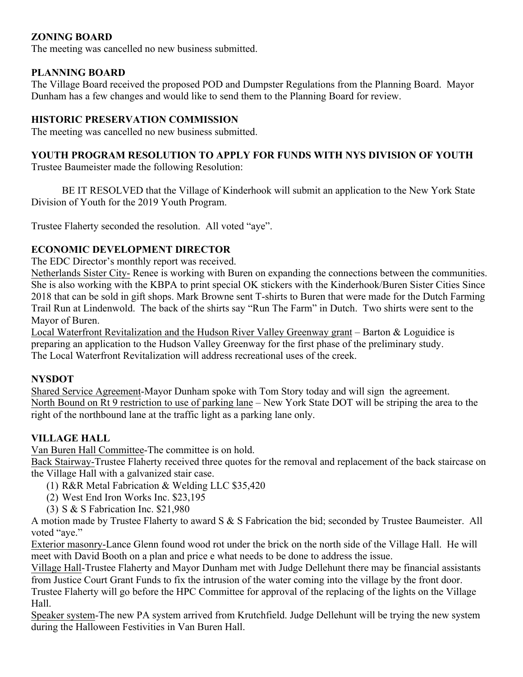# **ZONING BOARD**

The meeting was cancelled no new business submitted.

### **PLANNING BOARD**

The Village Board received the proposed POD and Dumpster Regulations from the Planning Board. Mayor Dunham has a few changes and would like to send them to the Planning Board for review.

### **HISTORIC PRESERVATION COMMISSION**

The meeting was cancelled no new business submitted.

# **YOUTH PROGRAM RESOLUTION TO APPLY FOR FUNDS WITH NYS DIVISION OF YOUTH**

Trustee Baumeister made the following Resolution:

BE IT RESOLVED that the Village of Kinderhook will submit an application to the New York State Division of Youth for the 2019 Youth Program.

Trustee Flaherty seconded the resolution. All voted "aye".

# **ECONOMIC DEVELOPMENT DIRECTOR**

The EDC Director's monthly report was received.

Netherlands Sister City- Renee is working with Buren on expanding the connections between the communities. She is also working with the KBPA to print special OK stickers with the Kinderhook/Buren Sister Cities Since 2018 that can be sold in gift shops. Mark Browne sent T-shirts to Buren that were made for the Dutch Farming Trail Run at Lindenwold. The back of the shirts say "Run The Farm" in Dutch. Two shirts were sent to the Mayor of Buren.

Local Waterfront Revitalization and the Hudson River Valley Greenway grant – Barton & Loguidice is preparing an application to the Hudson Valley Greenway for the first phase of the preliminary study. The Local Waterfront Revitalization will address recreational uses of the creek.

### **NYSDOT**

Shared Service Agreement-Mayor Dunham spoke with Tom Story today and will sign the agreement. North Bound on Rt 9 restriction to use of parking lane – New York State DOT will be striping the area to the right of the northbound lane at the traffic light as a parking lane only.

# **VILLAGE HALL**

Van Buren Hall Committee-The committee is on hold.

Back Stairway-Trustee Flaherty received three quotes for the removal and replacement of the back staircase on the Village Hall with a galvanized stair case.

- (1) R&R Metal Fabrication & Welding LLC \$35,420
- (2) West End Iron Works Inc. \$23,195
- (3) S & S Fabrication Inc. \$21,980

A motion made by Trustee Flaherty to award S & S Fabrication the bid; seconded by Trustee Baumeister. All voted "aye."

Exterior masonry-Lance Glenn found wood rot under the brick on the north side of the Village Hall. He will meet with David Booth on a plan and price e what needs to be done to address the issue.

Village Hall-Trustee Flaherty and Mayor Dunham met with Judge Dellehunt there may be financial assistants from Justice Court Grant Funds to fix the intrusion of the water coming into the village by the front door.

Trustee Flaherty will go before the HPC Committee for approval of the replacing of the lights on the Village Hall.

Speaker system-The new PA system arrived from Krutchfield. Judge Dellehunt will be trying the new system during the Halloween Festivities in Van Buren Hall.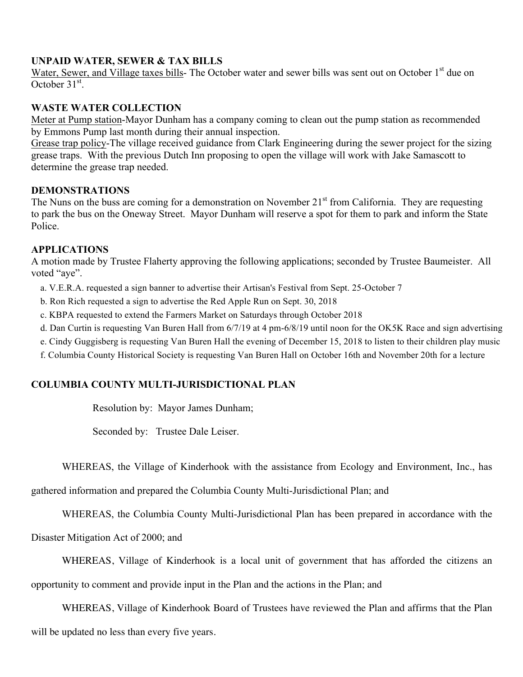### **UNPAID WATER, SEWER & TAX BILLS**

Water, Sewer, and Village taxes bills- The October water and sewer bills was sent out on October 1<sup>st</sup> due on October 31<sup>st</sup>.

### **WASTE WATER COLLECTION**

Meter at Pump station-Mayor Dunham has a company coming to clean out the pump station as recommended by Emmons Pump last month during their annual inspection.

Grease trap policy-The village received guidance from Clark Engineering during the sewer project for the sizing grease traps. With the previous Dutch Inn proposing to open the village will work with Jake Samascott to determine the grease trap needed.

#### **DEMONSTRATIONS**

The Nuns on the buss are coming for a demonstration on November 21<sup>st</sup> from California. They are requesting to park the bus on the Oneway Street. Mayor Dunham will reserve a spot for them to park and inform the State Police.

### **APPLICATIONS**

A motion made by Trustee Flaherty approving the following applications; seconded by Trustee Baumeister. All voted "aye".

a. V.E.R.A. requested a sign banner to advertise their Artisan's Festival from Sept. 25-October 7

b. Ron Rich requested a sign to advertise the Red Apple Run on Sept. 30, 2018

c. KBPA requested to extend the Farmers Market on Saturdays through October 2018

d. Dan Curtin is requesting Van Buren Hall from 6/7/19 at 4 pm-6/8/19 until noon for the OK5K Race and sign advertising

e. Cindy Guggisberg is requesting Van Buren Hall the evening of December 15, 2018 to listen to their children play music

f. Columbia County Historical Society is requesting Van Buren Hall on October 16th and November 20th for a lecture

# **COLUMBIA COUNTY MULTI-JURISDICTIONAL PLAN**

Resolution by: Mayor James Dunham;

Seconded by: Trustee Dale Leiser.

WHEREAS, the Village of Kinderhook with the assistance from Ecology and Environment, Inc., has

gathered information and prepared the Columbia County Multi-Jurisdictional Plan; and

WHEREAS, the Columbia County Multi-Jurisdictional Plan has been prepared in accordance with the

Disaster Mitigation Act of 2000; and

WHEREAS, Village of Kinderhook is a local unit of government that has afforded the citizens an

opportunity to comment and provide input in the Plan and the actions in the Plan; and

WHEREAS, Village of Kinderhook Board of Trustees have reviewed the Plan and affirms that the Plan will be updated no less than every five years.